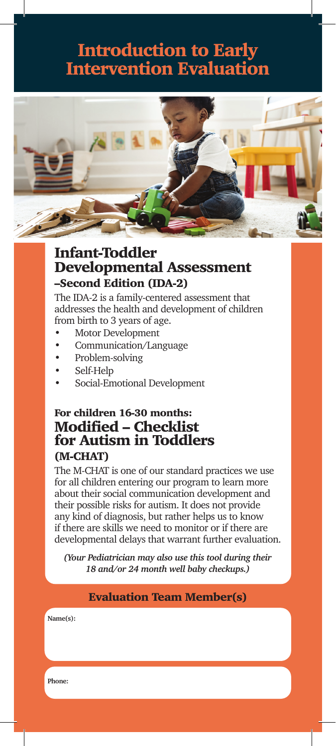## Introduction to Early Intervention Evaluation



### Infant-Toddler Developmental Assessment –Second Edition (IDA-2)

The IDA-2 is a family-centered assessment that addresses the health and development of children from birth to 3 years of age.

- Motor Development
- Communication/Language
- Problem-solving
- Self-Help
- Social-Emotional Development

### For children 16-30 months: Modified – Checklist for Autism in Toddlers (M-CHAT)

The M-CHAT is one of our standard practices we use for all children entering our program to learn more about their social communication development and their possible risks for autism. It does not provide any kind of diagnosis, but rather helps us to know if there are skills we need to monitor or if there are developmental delays that warrant further evaluation.

*(Your Pediatrician may also use this tool during their 18 and/or 24 month well baby checkups.)*

#### Evaluation Team Member(s)

**Name(s):**

**Phone:**